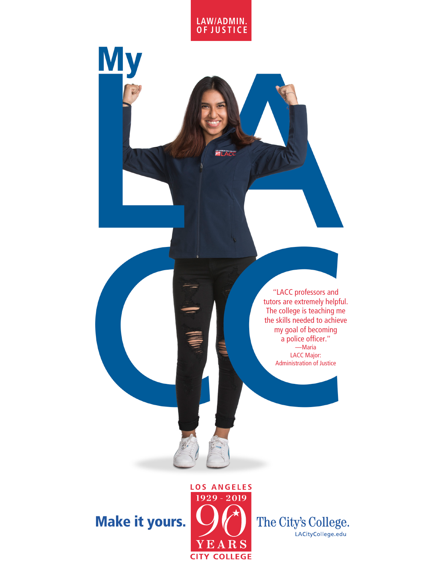

**ELAC** 

**My** 

"LACC professors and tutors are extremely helpful. The college is teaching me the skills needed to achieve my goal of becoming a police officer." —Maria LACC Major: Administration of Justice

## Make it yours.